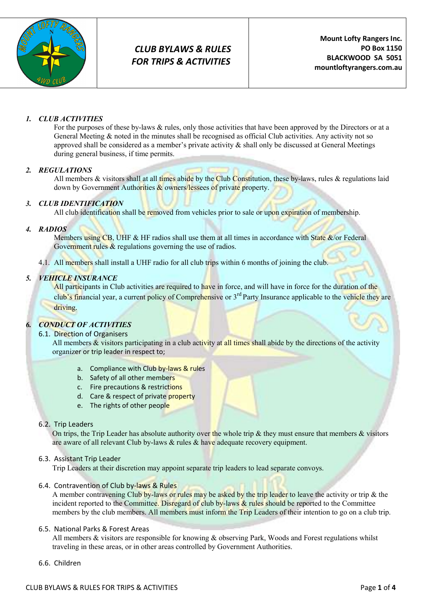

## 1. CLUB ACTIVITIES

For the purposes of these by-laws & rules, only those activities that have been approved by the Directors or at a General Meeting & noted in the minutes shall be recognised as official Club activities. Any activity not so approved shall be considered as a member's private activity & shall only be discussed at General Meetings during general business, if time permits.

## 2. REGULATIONS

All members  $\&$  visitors shall at all times abide by the Club Constitution, these by-laws, rules  $\&$  regulations laid down by Government Authorities  $\&$  owners/lessees of private property.

## 3. CLUB IDENTIFICATION

All club identification shall be removed from vehicles prior to sale or upon expiration of membership.

## 4. RADIOS

Members using CB, UHF & HF radios shall use them at all times in accordance with State  $\&$ /or Federal Government rules & regulations governing the use of radios.

4.1. All members shall install a UHF radio for all club trips within 6 months of joining the club.

## 5. VEHICLE INSURANCE

All participants in Club activities are required to have in force, and will have in force for the duration of the club's financial year, a current policy of Comprehensive or 3<sup>rd</sup> Party Insurance applicable to the vehicle they are driving.

## 6. CONDUCT OF ACTIVITIES

## 6.1. Direction of Organisers

All members  $\&$  visitors participating in a club activity at all times shall abide by the directions of the activity organizer or trip leader in respect to;

- a. Compliance with Club by-laws & rules
- b. Safety of all other members
- c. Fire precautions & restrictions
- d. Care & respect of private property
- e. The rights of other people

## 6.2. Trip Leaders

On trips, the Trip Leader has absolute authority over the whole trip  $\&$  they must ensure that members  $\&$  visitors are aware of all relevant Club by-laws & rules & have adequate recovery equipment.

## 6.3. Assistant Trip Leader

Trip Leaders at their discretion may appoint separate trip leaders to lead separate convoys.

#### 6.4. Contravention of Club by-laws & Rules

A member contravening Club by-laws or rules may be asked by the trip leader to leave the activity or trip & the incident reported to the Committee. Disregard of club by-laws & rules should be reported to the Committee members by the club members. All members must inform the Trip Leaders of their intention to go on a club trip.

## 6.5. National Parks & Forest Areas

All members & visitors are responsible for knowing & observing Park, Woods and Forest regulations whilst traveling in these areas, or in other areas controlled by Government Authorities.

6.6. Children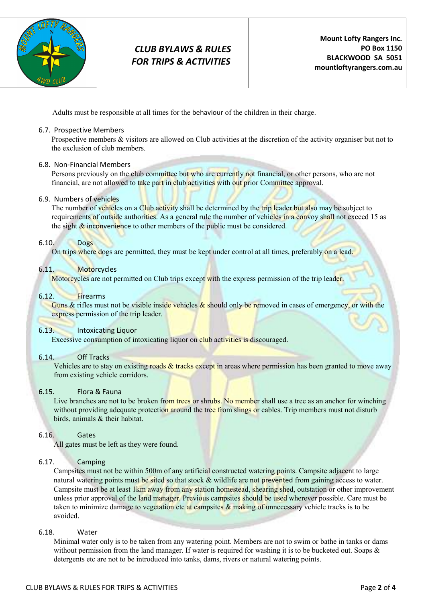

Adults must be responsible at all times for the behaviour of the children in their charge.

#### 6.7. Prospective Members

Prospective members & visitors are allowed on Club activities at the discretion of the activity organiser but not to the exclusion of club members.

#### 6.8. Non-Financial Members

Persons previously on the club committee but who are currently not financial, or other persons, who are not financial, are not allowed to take part in club activities with out prior Committee approval.

#### 6.9. Numbers of vehicles

The number of vehicles on a Club activity shall be determined by the trip leader but also may be subject to requirements of outside authorities. As a general rule the number of vehicles in a convoy shall not exceed 15 as the sight  $\&$  inconvenience to other members of the public must be considered.

#### 6.10. Dogs

On trips where dogs are permitted, they must be kept under control at all times, preferably on a lead.

#### 6.11. Motorcycles

Motorcycles are not permitted on Club trips except with the express permission of the trip leader.

#### 6.12. Firearms

Guns & rifles must not be visible inside vehicles  $\&$  should only be removed in cases of emergency, or with the express permission of the trip leader.

## 6.13. Intoxicating Liquor

Excessive consumption of intoxicating liquor on club activities is discouraged.

#### 6.14. Off Tracks

Vehicles are to stay on existing roads  $\&$  tracks except in areas where permission has been granted to move away from existing vehicle corridors.

#### 6.15. Flora & Fauna

Live branches are not to be broken from trees or shrubs. No member shall use a tree as an anchor for winching without providing adequate protection around the tree from slings or cables. Trip members must not disturb birds, animals & their habitat.

#### 6.16. Gates

All gates must be left as they were found.

## 6.17. Camping

Campsites must not be within 500m of any artificial constructed watering points. Campsite adjacent to large natural watering points must be sited so that stock & wildlife are not prevented from gaining access to water. Campsite must be at least 1km away from any station homestead, shearing shed, outstation or other improvement unless prior approval of the land manager. Previous campsites should be used wherever possible. Care must be taken to minimize damage to vegetation etc at campsites & making of unnecessary vehicle tracks is to be avoided.

#### 6.18. Water

Minimal water only is to be taken from any watering point. Members are not to swim or bathe in tanks or dams without permission from the land manager. If water is required for washing it is to be bucketed out. Soaps & detergents etc are not to be introduced into tanks, dams, rivers or natural watering points.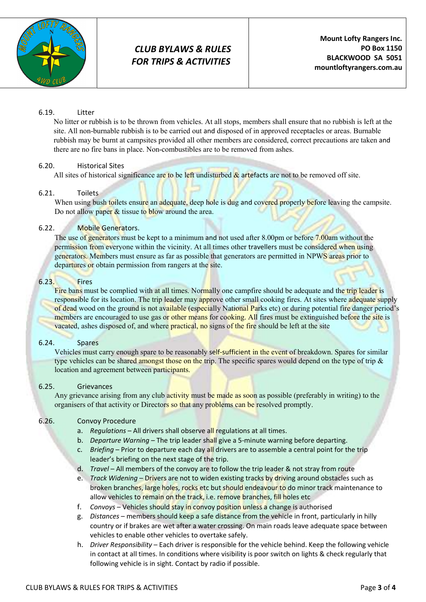

## 6.19. Litter

No litter or rubbish is to be thrown from vehicles. At all stops, members shall ensure that no rubbish is left at the site. All non-burnable rubbish is to be carried out and disposed of in approved receptacles or areas. Burnable rubbish may be burnt at campsites provided all other members are considered, correct precautions are taken and there are no fire bans in place. Non-combustibles are to be removed from ashes.

## 6.20. Historical Sites

All sites of historical significance are to be left undisturbed  $\&$  artefacts are not to be removed off site.

## 6.21. Toilets

When using bush toilets ensure an adequate, deep hole is dug and covered properly before leaving the campsite. Do not allow paper  $&$  tissue to blow around the area.

## 6.22. Mobile Generators.

The use of generators must be kept to a minimum and not used after 8.00pm or before 7.00am without the permission from everyone within the vicinity. At all times other travellers must be considered when using generators. Members must ensure as far as possible that generators are permitted in NPWS areas prior to departures or obtain permission from rangers at the site.

#### 6.23. Fires

Fire bans must be complied with at all times. Normally one campfire should be adequate and the trip leader is responsible for its location. The trip leader may approve other small cooking fires. At sites where adequate supply of dead wood on the ground is not available (especially National Parks etc) or during potential fire danger period's members are encouraged to use gas or other means for cooking. All fires must be extinguished before the site is vacated, ashes disposed of, and where practical, no signs of the fire should be left at the site

## 6.24. Spares

Vehicles must carry enough spare to be reasonably self-sufficient in the event of breakdown. Spares for similar type vehicles can be shared amongst those on the trip. The specific spares would depend on the type of trip & location and agreement between participants.

## 6.25. Grievances

Any grievance arising from any club activity must be made as soon as possible (preferably in writing) to the organisers of that activity or Directors so that any problems can be resolved promptly.

## 6.26. Convoy Procedure

- a. Regulations All drivers shall observe all regulations at all times.
- b. Departure Warning The trip leader shall give a 5-minute warning before departing.
- c. Briefing Prior to departure each day all drivers are to assemble a central point for the trip leader's briefing on the next stage of the trip.
- d. Travel All members of the convoy are to follow the trip leader & not stray from route
- e. Track Widening Drivers are not to widen existing tracks by driving around obstacles such as broken branches, large holes, rocks etc but should endeavour to do minor track maintenance to allow vehicles to remain on the track, i.e. remove branches, fill holes etc
- f. Convoys Vehicles should stay in convoy position unless a change is authorised
- g. Distances members should keep a safe distance from the vehicle in front, particularly in hilly country or if brakes are wet after a water crossing. On main roads leave adequate space between vehicles to enable other vehicles to overtake safely.
- h. Driver Responsibility Each driver is responsible for the vehicle behind. Keep the following vehicle in contact at all times. In conditions where visibility is poor switch on lights & check regularly that following vehicle is in sight. Contact by radio if possible.